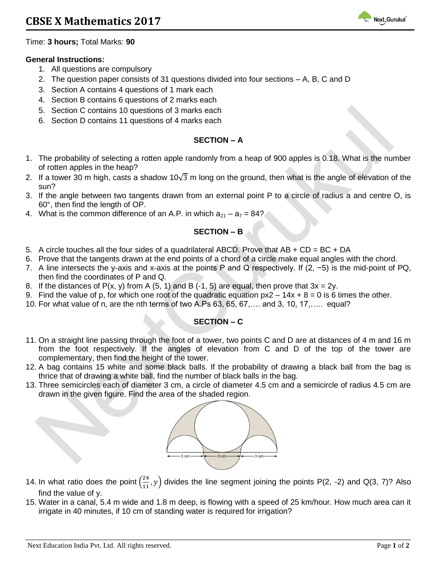

Time: **3 hours;** Total Marks: **90**

#### **General Instructions:**

- 1. All questions are compulsory
- 2. The question paper consists of 31 questions divided into four sections A, B, C and D
- 3. Section A contains 4 questions of 1 mark each
- 4. Section B contains 6 questions of 2 marks each
- 5. Section C contains 10 questions of 3 marks each
- 6. Section D contains 11 questions of 4 marks each

### **SECTION – A**

- 1. The probability of selecting a rotten apple randomly from a heap of 900 apples is 0.18. What is the number of rotten apples in the heap?
- 2. If a tower 30 m high, casts a shadow 10 $\sqrt{3}$  m long on the ground, then what is the angle of elevation of the sun?
- 3. If the angle between two tangents drawn from an external point P to a circle of radius a and centre O, is 60°, then find the length of OP.
- 4. What is the common difference of an A.P. in which  $a_{21} a_7 = 84$ ?

## **SECTION – B**

- 5. A circle touches all the four sides of a quadrilateral ABCD. Prove that  $AB + CD = BC + DA$
- 6. Prove that the tangents drawn at the end points of a chord of a circle make equal angles with the chord.
- 7. A line intersects the y-axis and x-axis at the points P and Q respectively. If (2, −5) is the mid-point of PQ, then find the coordinates of P and Q.
- 8. If the distances of  $P(x, y)$  from A (5, 1) and B (-1, 5) are equal, then prove that  $3x = 2y$ .
- 9. Find the value of p, for which one root of the quadratic equation  $px2 14x + 8 = 0$  is 6 times the other.
- 10. For what value of n, are the nth terms of two A.Ps 63, 65, 67,…. and 3, 10, 17,….. equal?

# **SECTION – C**

- 11. On a straight line passing through the foot of a tower, two points C and D are at distances of 4 m and 16 m from the foot respectively. If the angles of elevation from C and D of the top of the tower are complementary, then find the height of the tower.
- 12. A bag contains 15 white and some black balls. If the probability of drawing a black ball from the bag is thrice that of drawing a white ball, find the number of black balls in the bag.
- 13. Three semicircles each of diameter 3 cm, a circle of diameter 4.5 cm and a semicircle of radius 4.5 cm are drawn in the given figure. Find the area of the shaded region.



- 14. In what ratio does the point  $\left(\frac{24}{11}\right)$  $\frac{24}{11}$ ,  $y$ ) divides the line segment joining the points P(2, -2) and Q(3, 7)? Also find the value of y.
- 15. Water in a canal, 5.4 m wide and 1.8 m deep, is flowing with a speed of 25 km/hour. How much area can it irrigate in 40 minutes, if 10 cm of standing water is required for irrigation?

**\_\_\_\_\_\_\_\_\_\_\_\_\_\_\_\_\_\_\_\_\_\_\_\_\_\_\_\_\_\_\_\_\_\_\_\_\_\_\_\_\_\_\_\_\_\_\_\_\_\_\_\_\_\_\_\_\_\_\_\_\_\_\_\_\_\_\_\_\_\_\_\_\_\_\_\_\_\_\_\_\_\_\_\_\_\_\_\_\_\_**